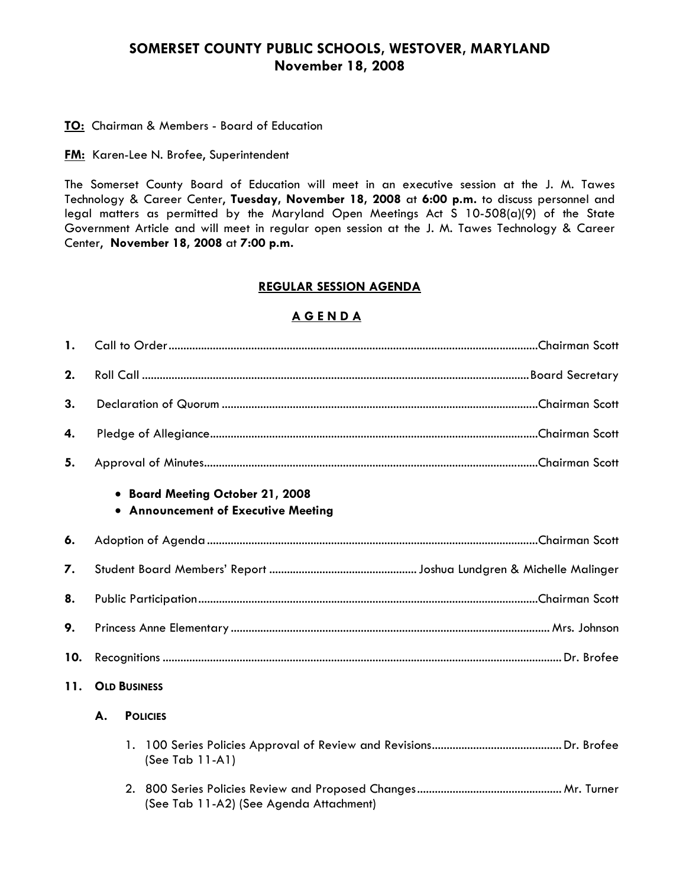## **SOMERSET COUNTY PUBLIC SCHOOLS, WESTOVER, MARYLAND November 18, 2008**

#### **TO:** Chairman & Members - Board of Education

**FM:** Karen-Lee N. Brofee, Superintendent

The Somerset County Board of Education will meet in an executive session at the J. M. Tawes Technology & Career Center, **Tuesday, November 18, 2008** at **6:00 p.m.** to discuss personnel and legal matters as permitted by the Maryland Open Meetings Act S 10-508(a)(9) of the State Government Article and will meet in regular open session at the J. M. Tawes Technology & Career Center, **November 18, 2008** at **7:00 p.m.**

#### **REGULAR SESSION AGENDA**

#### **A G E N D A**

| $\mathbf{1}$ . |                                                                         |                                         |  |  |  |
|----------------|-------------------------------------------------------------------------|-----------------------------------------|--|--|--|
| 2.             |                                                                         |                                         |  |  |  |
| 3.             |                                                                         |                                         |  |  |  |
| 4.             |                                                                         |                                         |  |  |  |
| 5.             |                                                                         |                                         |  |  |  |
|                | • Board Meeting October 21, 2008<br>• Announcement of Executive Meeting |                                         |  |  |  |
| 6.             |                                                                         |                                         |  |  |  |
| 7.             |                                                                         |                                         |  |  |  |
| 8.             |                                                                         |                                         |  |  |  |
| 9.             |                                                                         |                                         |  |  |  |
| 10.            |                                                                         |                                         |  |  |  |
| 11.            | <b>OLD BUSINESS</b>                                                     |                                         |  |  |  |
|                | A.<br><b>POLICIES</b>                                                   |                                         |  |  |  |
|                |                                                                         | (See Tab 11-A1)                         |  |  |  |
|                |                                                                         | (See Tab 11-A2) (See Agenda Attachment) |  |  |  |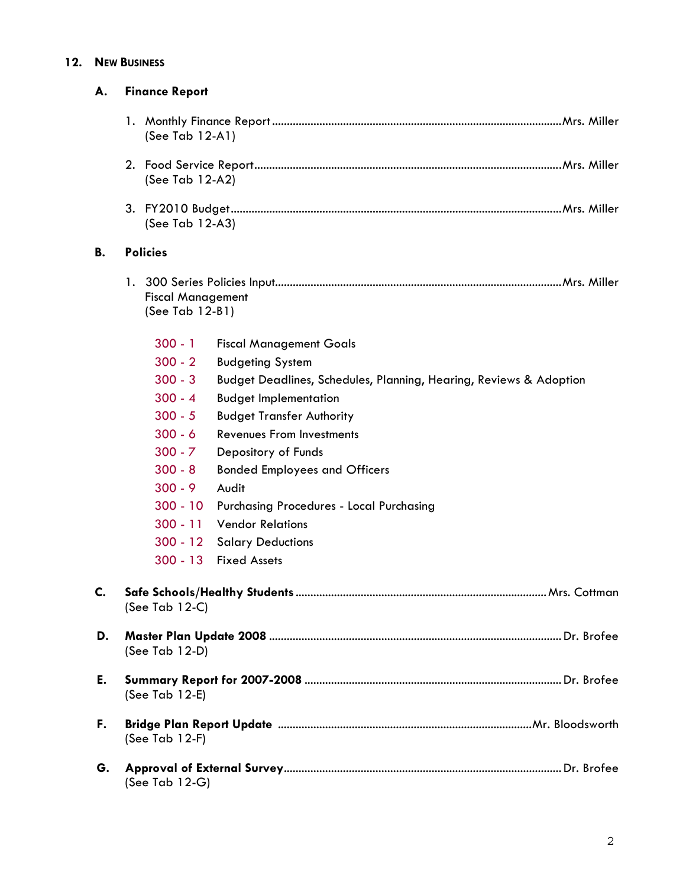#### **12. NEW BUSINESS**

| А. | <b>Finance Report</b>                                                                                                                                                                                                                                                                                                                                                                                                                                                                                                                                                                                                  |  |
|----|------------------------------------------------------------------------------------------------------------------------------------------------------------------------------------------------------------------------------------------------------------------------------------------------------------------------------------------------------------------------------------------------------------------------------------------------------------------------------------------------------------------------------------------------------------------------------------------------------------------------|--|
|    | (See Tab 12-A1)                                                                                                                                                                                                                                                                                                                                                                                                                                                                                                                                                                                                        |  |
|    | (See Tab 12-A2)                                                                                                                                                                                                                                                                                                                                                                                                                                                                                                                                                                                                        |  |
|    | (See Tab 12-A3)                                                                                                                                                                                                                                                                                                                                                                                                                                                                                                                                                                                                        |  |
| В. | <b>Policies</b>                                                                                                                                                                                                                                                                                                                                                                                                                                                                                                                                                                                                        |  |
|    | <b>Fiscal Management</b><br>(See Tab 12-B1)                                                                                                                                                                                                                                                                                                                                                                                                                                                                                                                                                                            |  |
|    | $300 - 1$<br><b>Fiscal Management Goals</b><br>$300 - 2$<br><b>Budgeting System</b><br>$300 - 3$<br>Budget Deadlines, Schedules, Planning, Hearing, Reviews & Adoption<br>$300 - 4$<br><b>Budget Implementation</b><br>$300 - 5$<br><b>Budget Transfer Authority</b><br>$300 - 6$<br>Revenues From Investments<br>$300 - 7$<br>Depository of Funds<br>$300 - 8$<br><b>Bonded Employees and Officers</b><br>$300 - 9$<br>Audit<br>$300 - 10$<br><b>Purchasing Procedures - Local Purchasing</b><br>$300 - 11$<br><b>Vendor Relations</b><br>$300 - 12$<br><b>Salary Deductions</b><br><b>Fixed Assets</b><br>$300 - 13$ |  |
| C. | (See Tab $12-C$ )                                                                                                                                                                                                                                                                                                                                                                                                                                                                                                                                                                                                      |  |
| D. | (See Tab 12-D)                                                                                                                                                                                                                                                                                                                                                                                                                                                                                                                                                                                                         |  |
| E. | (See Tab 12-E)                                                                                                                                                                                                                                                                                                                                                                                                                                                                                                                                                                                                         |  |
| F. | (See Tab $12-F$ )                                                                                                                                                                                                                                                                                                                                                                                                                                                                                                                                                                                                      |  |
| G. | (See Tab $12-G$ )                                                                                                                                                                                                                                                                                                                                                                                                                                                                                                                                                                                                      |  |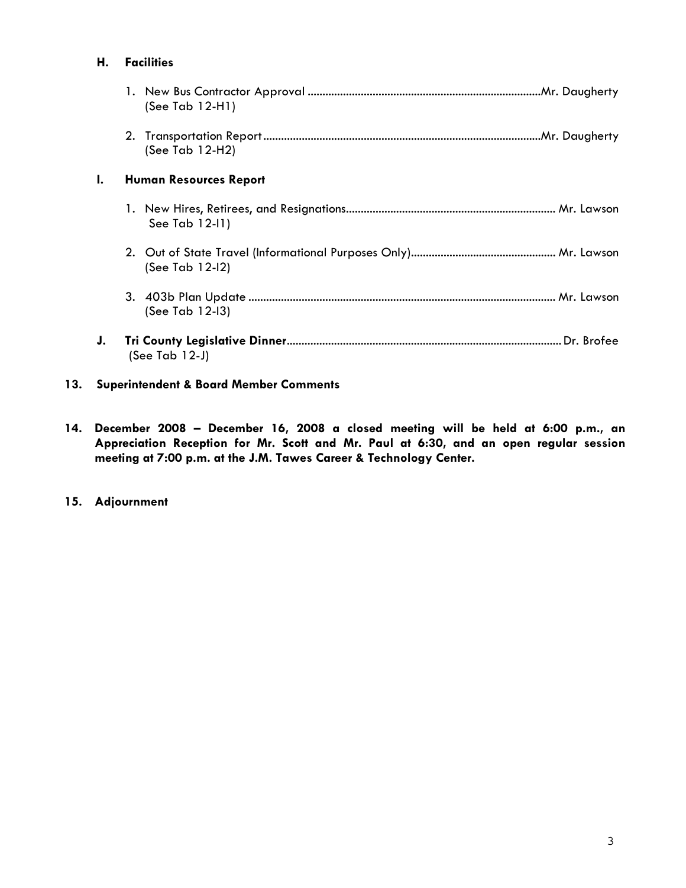| Н. | <b>Facilities</b>             |  |
|----|-------------------------------|--|
|    | (See Tab $12-H1$ )            |  |
|    | (See Tab 12-H2)               |  |
| ı. | <b>Human Resources Report</b> |  |
|    | See Tab 12-11)                |  |
|    | (See Tab 12-12)               |  |
|    | (See Tab 12-13)               |  |
| J. | (See Tab $12-J$ )             |  |

### **13. Superintendent & Board Member Comments**

**14. December 2008 – December 16, 2008 a closed meeting will be held at 6:00 p.m., an Appreciation Reception for Mr. Scott and Mr. Paul at 6:30, and an open regular session meeting at 7:00 p.m. at the J.M. Tawes Career & Technology Center.** 

### **15. Adjournment**